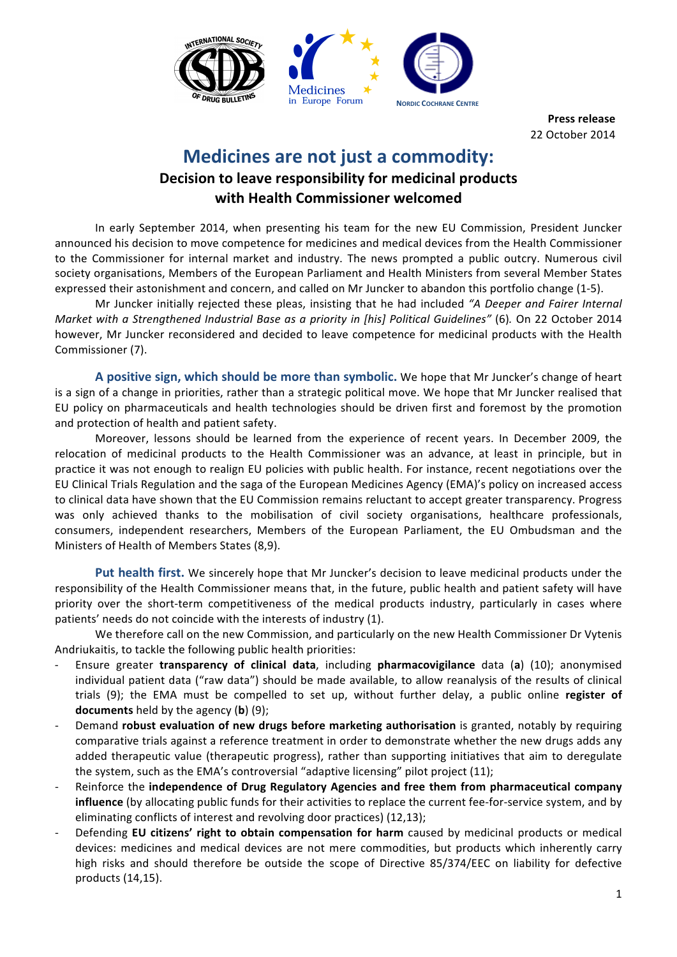

**Press release** 22 October 2014

## **Medicines are not just a commodity:**

## **Decision to leave responsibility for medicinal products with Health Commissioner welcomed**

In early September 2014, when presenting his team for the new EU Commission, President Juncker announced his decision to move competence for medicines and medical devices from the Health Commissioner to the Commissioner for internal market and industry. The news prompted a public outcry. Numerous civil society organisations, Members of the European Parliament and Health Ministers from several Member States expressed their astonishment and concern, and called on Mr Juncker to abandon this portfolio change (1-5).

Mr Juncker initially rejected these pleas, insisting that he had included "A Deeper and Fairer Internal *Market with a Strengthened Industrial Base as a priority in [his] Political Guidelines" (6).* On 22 October 2014 however, Mr Juncker reconsidered and decided to leave competence for medicinal products with the Health Commissioner (7).

**A** positive sign, which should be more than symbolic. We hope that Mr Juncker's change of heart is a sign of a change in priorities, rather than a strategic political move. We hope that Mr Juncker realised that EU policy on pharmaceuticals and health technologies should be driven first and foremost by the promotion and protection of health and patient safety.

Moreover, lessons should be learned from the experience of recent years. In December 2009, the relocation of medicinal products to the Health Commissioner was an advance, at least in principle, but in practice it was not enough to realign EU policies with public health. For instance, recent negotiations over the EU Clinical Trials Regulation and the saga of the European Medicines Agency (EMA)'s policy on increased access to clinical data have shown that the EU Commission remains reluctant to accept greater transparency. Progress was only achieved thanks to the mobilisation of civil society organisations, healthcare professionals, consumers, independent researchers, Members of the European Parliament, the EU Ombudsman and the Ministers of Health of Members States (8,9).

**Put health first.** We sincerely hope that Mr Juncker's decision to leave medicinal products under the responsibility of the Health Commissioner means that, in the future, public health and patient safety will have priority over the short-term competitiveness of the medical products industry, particularly in cases where patients' needs do not coincide with the interests of industry (1).

We therefore call on the new Commission, and particularly on the new Health Commissioner Dr Vytenis Andriukaitis, to tackle the following public health priorities:

- Ensure greater **transparency of clinical data**, including **pharmacovigilance** data (**a**) (10); anonymised individual patient data ("raw data") should be made available, to allow reanalysis of the results of clinical trials (9); the EMA must be compelled to set up, without further delay, a public online register of **documents** held by the agency (**b**) (9);
- Demand **robust evaluation of new drugs before marketing authorisation** is granted, notably by requiring comparative trials against a reference treatment in order to demonstrate whether the new drugs adds any added therapeutic value (therapeutic progress), rather than supporting initiatives that aim to deregulate the system, such as the EMA's controversial "adaptive licensing" pilot project  $(11)$ ;
- Reinforce the **independence of Drug Regulatory Agencies and free them from pharmaceutical company influence** (by allocating public funds for their activities to replace the current fee-for-service system, and by eliminating conflicts of interest and revolving door practices) (12,13);
- Defending **EU** citizens' right to obtain compensation for harm caused by medicinal products or medical devices: medicines and medical devices are not mere commodities, but products which inherently carry high risks and should therefore be outside the scope of Directive 85/374/EEC on liability for defective products (14,15).